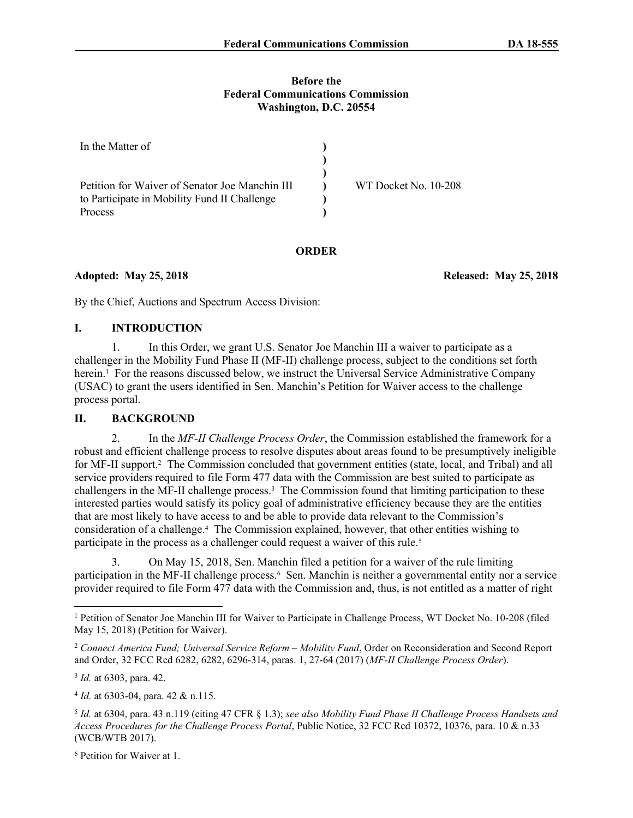#### **Before the Federal Communications Commission Washington, D.C. 20554**

| In the Matter of                               |                      |
|------------------------------------------------|----------------------|
|                                                |                      |
|                                                |                      |
| Petition for Waiver of Senator Joe Manchin III | WT Docket No. 10-208 |
| to Participate in Mobility Fund II Challenge   |                      |
| <b>Process</b>                                 |                      |

### **ORDER**

**Adopted: May 25, 2018 Released: May 25, 2018**

By the Chief, Auctions and Spectrum Access Division:

## **I. INTRODUCTION**

1. In this Order, we grant U.S. Senator Joe Manchin III a waiver to participate as a challenger in the Mobility Fund Phase II (MF-II) challenge process, subject to the conditions set forth herein.<sup>1</sup> For the reasons discussed below, we instruct the Universal Service Administrative Company (USAC) to grant the users identified in Sen. Manchin's Petition for Waiver access to the challenge process portal.

# **II. BACKGROUND**

2. In the *MF-II Challenge Process Order*, the Commission established the framework for a robust and efficient challenge process to resolve disputes about areas found to be presumptively ineligible for MF-II support.<sup>2</sup> The Commission concluded that government entities (state, local, and Tribal) and all service providers required to file Form 477 data with the Commission are best suited to participate as challengers in the MF-II challenge process.<sup>3</sup> The Commission found that limiting participation to these interested parties would satisfy its policy goal of administrative efficiency because they are the entities that are most likely to have access to and be able to provide data relevant to the Commission's consideration of a challenge.<sup>4</sup> The Commission explained, however, that other entities wishing to participate in the process as a challenger could request a waiver of this rule.<sup>5</sup>

3. On May 15, 2018, Sen. Manchin filed a petition for a waiver of the rule limiting participation in the MF-II challenge process.<sup>6</sup> Sen. Manchin is neither a governmental entity nor a service provider required to file Form 477 data with the Commission and, thus, is not entitled as a matter of right

3 *Id.* at 6303, para. 42.

4 *Id.* at 6303-04, para. 42 & n.115.

<sup>6</sup> Petition for Waiver at 1.

<sup>1</sup> Petition of Senator Joe Manchin III for Waiver to Participate in Challenge Process, WT Docket No. 10-208 (filed May 15, 2018) (Petition for Waiver).

<sup>2</sup> *Connect America Fund; Universal Service Reform – Mobility Fund*, Order on Reconsideration and Second Report and Order, 32 FCC Rcd 6282, 6282, 6296-314, paras. 1, 27-64 (2017) (*MF-II Challenge Process Order*).

<sup>5</sup> *Id.* at 6304, para. 43 n.119 (citing 47 CFR § 1.3); *see also Mobility Fund Phase II Challenge Process Handsets and Access Procedures for the Challenge Process Portal*, Public Notice, 32 FCC Rcd 10372, 10376, para. 10 & n.33 (WCB/WTB 2017).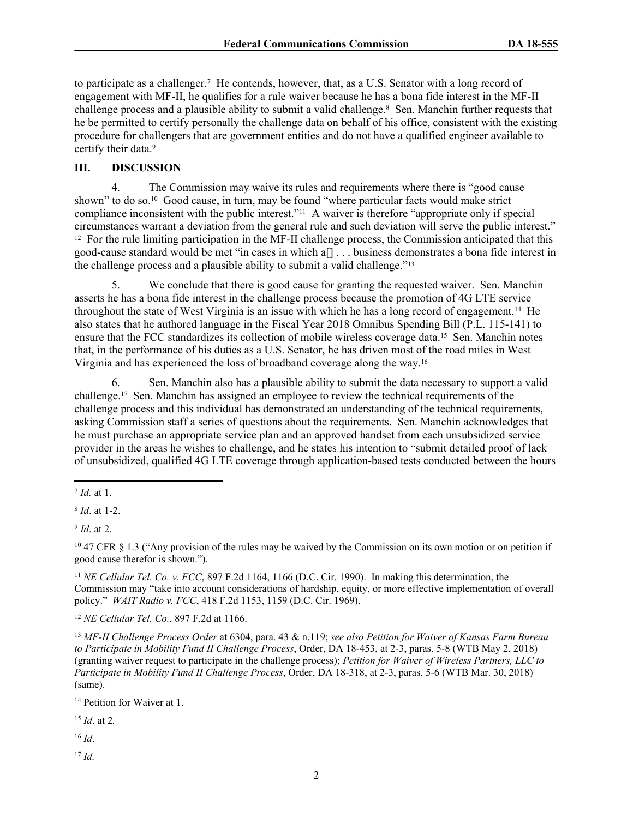to participate as a challenger.<sup>7</sup> He contends, however, that, as a U.S. Senator with a long record of engagement with MF-II, he qualifies for a rule waiver because he has a bona fide interest in the MF-II challenge process and a plausible ability to submit a valid challenge.<sup>8</sup> Sen. Manchin further requests that he be permitted to certify personally the challenge data on behalf of his office, consistent with the existing procedure for challengers that are government entities and do not have a qualified engineer available to certify their data.<sup>9</sup>

## **III. DISCUSSION**

4. The Commission may waive its rules and requirements where there is "good cause shown" to do so.<sup>10</sup> Good cause, in turn, may be found "where particular facts would make strict compliance inconsistent with the public interest."<sup>11</sup> A waiver is therefore "appropriate only if special circumstances warrant a deviation from the general rule and such deviation will serve the public interest." <sup>12</sup> For the rule limiting participation in the MF-II challenge process, the Commission anticipated that this good-cause standard would be met "in cases in which a[] . . . business demonstrates a bona fide interest in the challenge process and a plausible ability to submit a valid challenge."<sup>13</sup>

5. We conclude that there is good cause for granting the requested waiver. Sen. Manchin asserts he has a bona fide interest in the challenge process because the promotion of 4G LTE service throughout the state of West Virginia is an issue with which he has a long record of engagement.<sup>14</sup> He also states that he authored language in the Fiscal Year 2018 Omnibus Spending Bill (P.L. 115-141) to ensure that the FCC standardizes its collection of mobile wireless coverage data.<sup>15</sup> Sen. Manchin notes that, in the performance of his duties as a U.S. Senator, he has driven most of the road miles in West Virginia and has experienced the loss of broadband coverage along the way.<sup>16</sup>

6. Sen. Manchin also has a plausible ability to submit the data necessary to support a valid challenge.<sup>17</sup> Sen. Manchin has assigned an employee to review the technical requirements of the challenge process and this individual has demonstrated an understanding of the technical requirements, asking Commission staff a series of questions about the requirements. Sen. Manchin acknowledges that he must purchase an appropriate service plan and an approved handset from each unsubsidized service provider in the areas he wishes to challenge, and he states his intention to "submit detailed proof of lack of unsubsidized, qualified 4G LTE coverage through application-based tests conducted between the hours

<sup>11</sup> *NE Cellular Tel. Co. v. FCC*, 897 F.2d 1164, 1166 (D.C. Cir. 1990). In making this determination, the Commission may "take into account considerations of hardship, equity, or more effective implementation of overall policy." *WAIT Radio v. FCC*, 418 F.2d 1153, 1159 (D.C. Cir. 1969).

<sup>12</sup> *NE Cellular Tel. Co.*, 897 F.2d at 1166.

<sup>13</sup> *MF-II Challenge Process Order* at 6304, para. 43 & n.119; *see also Petition for Waiver of Kansas Farm Bureau to Participate in Mobility Fund II Challenge Process*, Order, DA 18-453, at 2-3, paras. 5-8 (WTB May 2, 2018) (granting waiver request to participate in the challenge process); *Petition for Waiver of Wireless Partners, LLC to Participate in Mobility Fund II Challenge Process*, Order, DA 18-318, at 2-3, paras. 5-6 (WTB Mar. 30, 2018) (same).

<sup>14</sup> Petition for Waiver at 1.

<sup>15</sup> *Id*. at 2*.*

<sup>16</sup> *Id*.

<sup>17</sup> *Id.*

<sup>7</sup> *Id.* at 1.

<sup>8</sup> *Id*. at 1-2.

<sup>9</sup> *Id*. at 2.

<sup>10</sup> 47 CFR § 1.3 ("Any provision of the rules may be waived by the [Commission](https://www.law.cornell.edu/definitions/index.php?width=840&height=800&iframe=true&def_id=a6297a35c9ac3fd0044718728be4adbe&term_occur=1&term_src=Title:47:Chapter:I:Subchapter:A:Part:1:Subpart:A:Subjgrp:147:1.3) on its own motion or on petition if good cause therefor is shown.").